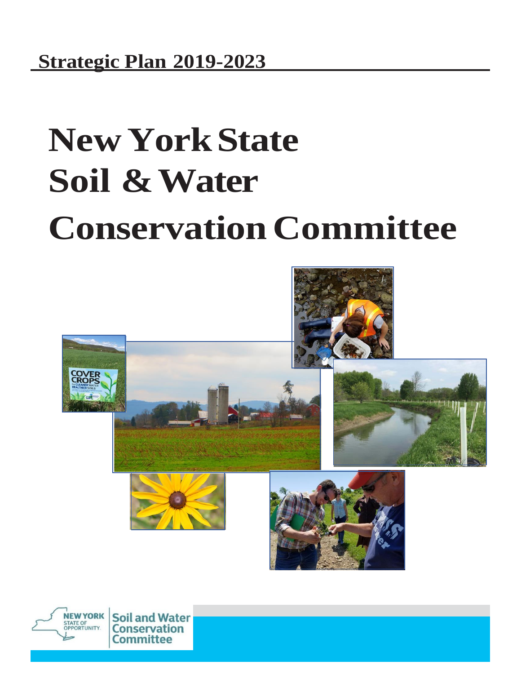# **NewYorkState Soil & Water Conservation Committee**



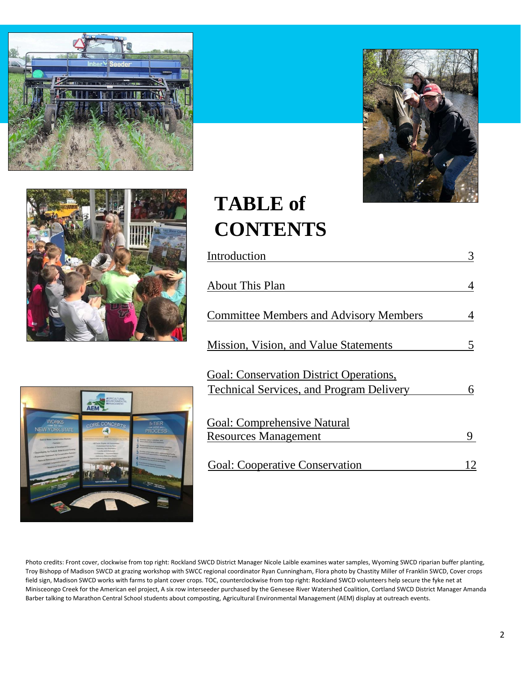





## **TABLE of CONTENTS**

| Introduction                                                                                      |   |
|---------------------------------------------------------------------------------------------------|---|
| <b>About This Plan</b><br><b>Committee Members and Advisory Members</b>                           |   |
|                                                                                                   |   |
| <b>Goal: Conservation District Operations,</b><br><b>Technical Services, and Program Delivery</b> | 6 |
| <b>Goal: Comprehensive Natural</b><br><b>Resources Management</b>                                 |   |
|                                                                                                   |   |
| <b>Goal: Cooperative Conservation</b>                                                             |   |



Photo credits: Front cover, clockwise from top right: Rockland SWCD District Manager Nicole Laible examines water samples, Wyoming SWCD riparian buffer planting, Troy Bishopp of Madison SWCD at grazing workshop with SWCC regional coordinator Ryan Cunningham, Flora photo by Chastity Miller of Franklin SWCD, Cover crops field sign, Madison SWCD works with farms to plant cover crops. TOC, counterclockwise from top right: Rockland SWCD volunteers help secure the fyke net at Minisceongo Creek for the American eel project, A six row interseeder purchased by the Genesee River Watershed Coalition, Cortland SWCD District Manager Amanda Barber talking to Marathon Central School students about composting, Agricultural Environmental Management (AEM) display at outreach events.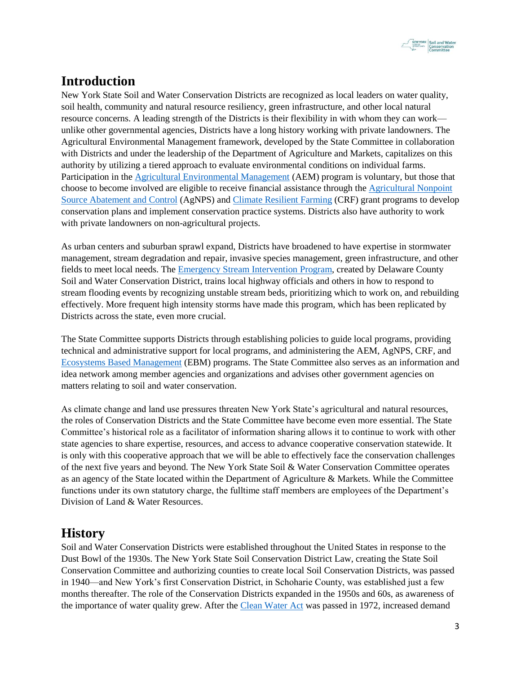

## **Introduction**

New York State Soil and Water Conservation Districts are recognized as local leaders on water quality, soil health, community and natural resource resiliency, green infrastructure, and other local natural resource concerns. A leading strength of the Districts is their flexibility in with whom they can work unlike other governmental agencies, Districts have a long history working with private landowners. The Agricultural Environmental Management framework, developed by the State Committee in collaboration with Districts and under the leadership of the Department of Agriculture and Markets, capitalizes on this authority by utilizing a tiered approach to evaluate environmental conditions on individual farms. Participation in the [Agricultural Environmental Management](https://www.nys-soilandwater.org/aem/nonpoint.html) (AEM) program is voluntary, but those that choose to become involved are eligible to receive financial assistance through the [Agricultural Nonpoint](https://www.nys-soilandwater.org/aem/nonpoint.html)  [Source Abatement and Control](https://www.nys-soilandwater.org/aem/nonpoint.html) (AgNPS) an[d Climate Resilient Farming](https://www.nys-soilandwater.org/programs/crf.html) (CRF) grant programs to develop conservation plans and implement conservation practice systems. Districts also have authority to work with private landowners on non-agricultural projects.

As urban centers and suburban sprawl expand, Districts have broadened to have expertise in stormwater management, stream degradation and repair, invasive species management, green infrastructure, and other fields to meet local needs. The [Emergency Stream Intervention Program,](http://www.clrp.cornell.edu/nuggets_and_nibbles/articles/2016/stream.html) created by Delaware County Soil and Water Conservation District, trains local highway officials and others in how to respond to stream flooding events by recognizing unstable stream beds, prioritizing which to work on, and rebuilding effectively. More frequent high intensity storms have made this program, which has been replicated by Districts across the state, even more crucial.

The State Committee supports Districts through establishing policies to guide local programs, providing technical and administrative support for local programs, and administering the AEM, AgNPS, CRF, and [Ecosystems Based Management](https://www.nys-soilandwater.org/aem/forms/ebmREPORT18.6.pdf) (EBM) programs. The State Committee also serves as an information and idea network among member agencies and organizations and advises other government agencies on matters relating to soil and water conservation.

As climate change and land use pressures threaten New York State's agricultural and natural resources, the roles of Conservation Districts and the State Committee have become even more essential. The State Committee's historical role as a facilitator of information sharing allows it to continue to work with other state agencies to share expertise, resources, and access to advance cooperative conservation statewide. It is only with this cooperative approach that we will be able to effectively face the conservation challenges of the next five years and beyond. The New York State Soil & Water Conservation Committee operates as an agency of the State located within the Department of Agriculture & Markets. While the Committee functions under its own statutory charge, the fulltime staff members are employees of the Department's Division of Land & Water Resources.

#### **History**

Soil and Water Conservation Districts were established throughout the United States in response to the Dust Bowl of the 1930s. The New York State Soil Conservation District Law, creating the State Soil Conservation Committee and authorizing counties to create local Soil Conservation Districts, was passed in 1940—and New York's first Conservation District, in Schoharie County, was established just a few months thereafter. The role of the Conservation Districts expanded in the 1950s and 60s, as awareness of the importance of water quality grew. After the [Clean Water Act](https://www.epa.gov/laws-regulations/summary-clean-water-act) was passed in 1972, increased demand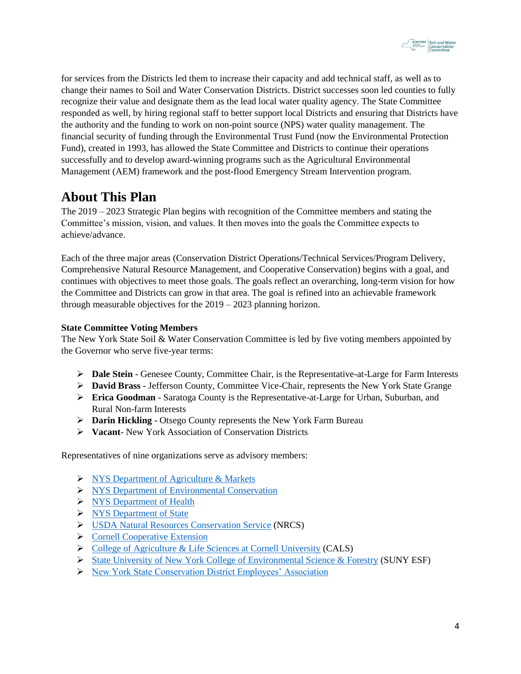

for services from the Districts led them to increase their capacity and add technical staff, as well as to change their names to Soil and Water Conservation Districts. District successes soon led counties to fully recognize their value and designate them as the lead local water quality agency. The State Committee responded as well, by hiring regional staff to better support local Districts and ensuring that Districts have the authority and the funding to work on non-point source (NPS) water quality management. The financial security of funding through the Environmental Trust Fund (now the Environmental Protection Fund), created in 1993, has allowed the State Committee and Districts to continue their operations successfully and to develop award-winning programs such as the Agricultural Environmental Management (AEM) framework and the post-flood Emergency Stream Intervention program.

#### **About This Plan**

The 2019 – 2023 Strategic Plan begins with recognition of the Committee members and stating the Committee's mission, vision, and values. It then moves into the goals the Committee expects to achieve/advance.

Each of the three major areas (Conservation District Operations/Technical Services/Program Delivery, Comprehensive Natural Resource Management, and Cooperative Conservation) begins with a goal, and continues with objectives to meet those goals. The goals reflect an overarching, long-term vision for how the Committee and Districts can grow in that area. The goal is refined into an achievable framework through measurable objectives for the 2019 – 2023 planning horizon.

#### **State Committee Voting Members**

The New York State Soil & Water Conservation Committee is led by five voting members appointed by the Governor who serve five-year terms:

- ➢ **Dale Stein** Genesee County, Committee Chair, is the Representative-at-Large for Farm Interests
- ➢ **David Brass** Jefferson County, Committee Vice-Chair, represents the New York State Grange
- ➢ **Erica Goodman** Saratoga County is the Representative-at-Large for Urban, Suburban, and Rural Non-farm Interests
- ➢ **Darin Hickling** Otsego County represents the New York Farm Bureau
- ➢ **Vacant** New York Association of Conservation Districts

Representatives of nine organizations serve as advisory members:

- ➢ [NYS Department of Agriculture & Markets](https://www.agriculture.ny.gov/)
- ➢ [NYS Department of Environmental Conservation](https://www.dec.ny.gov/)
- ➢ [NYS Department of Health](https://www.health.ny.gov/)
- ➢ [NYS Department of State](https://www.dos.ny.gov/)
- ➢ [USDA Natural Resources Conservation Service](https://www.nrcs.usda.gov/wps/portal/nrcs/site/national/home/) (NRCS)
- ➢ [Cornell Cooperative Extension](http://cce.cornell.edu/)
- ➢ [College of Agriculture & Life Sciences at Cornell University](https://cals.cornell.edu/) (CALS)
- ➢ [State University of New York College of Environmental Science & Forestry](https://www.esf.edu/) (SUNY ESF)
- ➢ [New York State Conservation District Employees' Association](https://www.nyscdea.com/)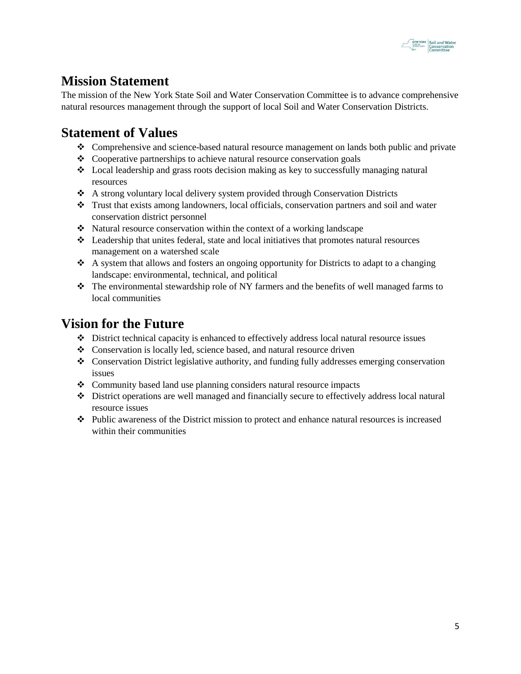

## **Mission Statement**

The mission of the New York State Soil and Water Conservation Committee is to advance comprehensive natural resources management through the support of local Soil and Water Conservation Districts.

#### **Statement of Values**

- ❖ Comprehensive and science-based natural resource management on lands both public and private
- ❖ Cooperative partnerships to achieve natural resource conservation goals
- ❖ Local leadership and grass roots decision making as key to successfully managing natural resources
- ❖ A strong voluntary local delivery system provided through Conservation Districts
- ❖ Trust that exists among landowners, local officials, conservation partners and soil and water conservation district personnel
- ❖ Natural resource conservation within the context of a working landscape
- ❖ Leadership that unites federal, state and local initiatives that promotes natural resources management on a watershed scale
- $\triangle$  A system that allows and fosters an ongoing opportunity for Districts to adapt to a changing landscape: environmental, technical, and political
- ❖ The environmental stewardship role of NY farmers and the benefits of well managed farms to local communities

#### **Vision for the Future**

- ❖ District technical capacity is enhanced to effectively address local natural resource issues
- ❖ Conservation is locally led, science based, and natural resource driven
- ❖ Conservation District legislative authority, and funding fully addresses emerging conservation issues
- ❖ Community based land use planning considers natural resource impacts
- ❖ District operations are well managed and financially secure to effectively address local natural resource issues
- ❖ Public awareness of the District mission to protect and enhance natural resources is increased within their communities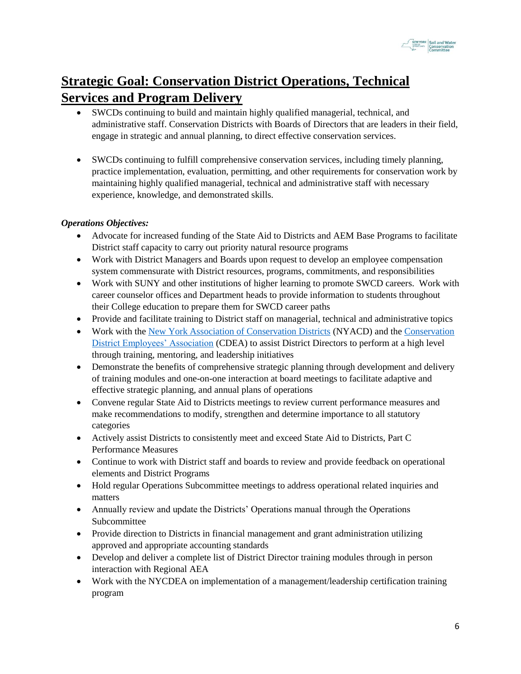

## **Strategic Goal: Conservation District Operations, Technical Services and Program Delivery**

- SWCDs continuing to build and maintain highly qualified managerial, technical, and administrative staff. Conservation Districts with Boards of Directors that are leaders in their field, engage in strategic and annual planning, to direct effective conservation services.
- SWCDs continuing to fulfill comprehensive conservation services, including timely planning, practice implementation, evaluation, permitting, and other requirements for conservation work by maintaining highly qualified managerial, technical and administrative staff with necessary experience, knowledge, and demonstrated skills.

#### *Operations Objectives:*

- Advocate for increased funding of the State Aid to Districts and AEM Base Programs to facilitate District staff capacity to carry out priority natural resource programs
- Work with District Managers and Boards upon request to develop an employee compensation system commensurate with District resources, programs, commitments, and responsibilities
- Work with SUNY and other institutions of higher learning to promote SWCD careers. Work with career counselor offices and Department heads to provide information to students throughout their College education to prepare them for SWCD career paths
- Provide and facilitate training to District staff on managerial, technical and administrative topics
- Work with the [New York Association of Conservation Districts](https://nyacd.org/) (NYACD) and the [Conservation](https://www.nyscdea.com/) [District Employees' Association](https://www.nyscdea.com/) (CDEA) to assist District Directors to perform at a high level through training, mentoring, and leadership initiatives
- Demonstrate the benefits of comprehensive strategic planning through development and delivery of training modules and one-on-one interaction at board meetings to facilitate adaptive and effective strategic planning, and annual plans of operations
- Convene regular State Aid to Districts meetings to review current performance measures and make recommendations to modify, strengthen and determine importance to all statutory categories
- Actively assist Districts to consistently meet and exceed State Aid to Districts, Part C Performance Measures
- Continue to work with District staff and boards to review and provide feedback on operational elements and District Programs
- Hold regular Operations Subcommittee meetings to address operational related inquiries and matters
- Annually review and update the Districts' Operations manual through the Operations Subcommittee
- Provide direction to Districts in financial management and grant administration utilizing approved and appropriate accounting standards
- Develop and deliver a complete list of District Director training modules through in person interaction with Regional AEA
- Work with the NYCDEA on implementation of a management/leadership certification training program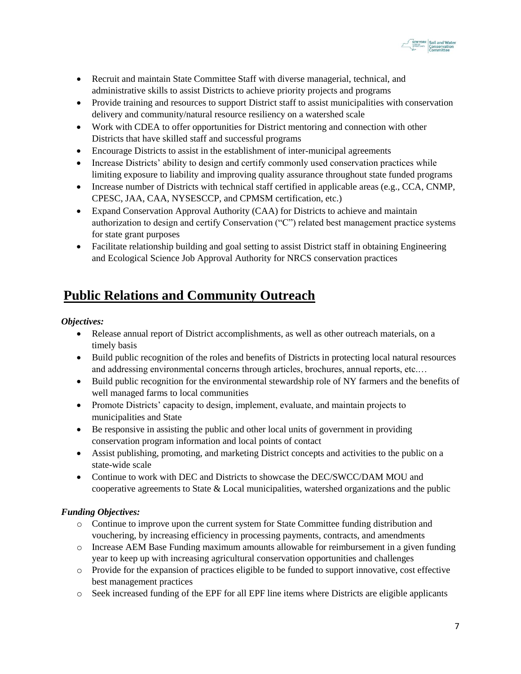

- Recruit and maintain State Committee Staff with diverse managerial, technical, and administrative skills to assist Districts to achieve priority projects and programs
- Provide training and resources to support District staff to assist municipalities with conservation delivery and community/natural resource resiliency on a watershed scale
- Work with CDEA to offer opportunities for District mentoring and connection with other Districts that have skilled staff and successful programs
- Encourage Districts to assist in the establishment of inter-municipal agreements
- Increase Districts' ability to design and certify commonly used conservation practices while limiting exposure to liability and improving quality assurance throughout state funded programs
- Increase number of Districts with technical staff certified in applicable areas (e.g., CCA, CNMP, CPESC, JAA, CAA, NYSESCCP, and CPMSM certification, etc.)
- Expand Conservation Approval Authority (CAA) for Districts to achieve and maintain authorization to design and certify Conservation ("C") related best management practice systems for state grant purposes
- Facilitate relationship building and goal setting to assist District staff in obtaining Engineering and Ecological Science Job Approval Authority for NRCS conservation practices

#### **Public Relations and Community Outreach**

#### *Objectives:*

- Release annual report of District accomplishments, as well as other outreach materials, on a timely basis
- Build public recognition of the roles and benefits of Districts in protecting local natural resources and addressing environmental concerns through articles, brochures, annual reports, etc.…
- Build public recognition for the environmental stewardship role of NY farmers and the benefits of well managed farms to local communities
- Promote Districts' capacity to design, implement, evaluate, and maintain projects to municipalities and State
- Be responsive in assisting the public and other local units of government in providing conservation program information and local points of contact
- Assist publishing, promoting, and marketing District concepts and activities to the public on a state-wide scale
- Continue to work with DEC and Districts to showcase the DEC/SWCC/DAM MOU and cooperative agreements to State & Local municipalities, watershed organizations and the public

#### *Funding Objectives:*

- o Continue to improve upon the current system for State Committee funding distribution and vouchering, by increasing efficiency in processing payments, contracts, and amendments
- o Increase AEM Base Funding maximum amounts allowable for reimbursement in a given funding year to keep up with increasing agricultural conservation opportunities and challenges
- o Provide for the expansion of practices eligible to be funded to support innovative, cost effective best management practices
- o Seek increased funding of the EPF for all EPF line items where Districts are eligible applicants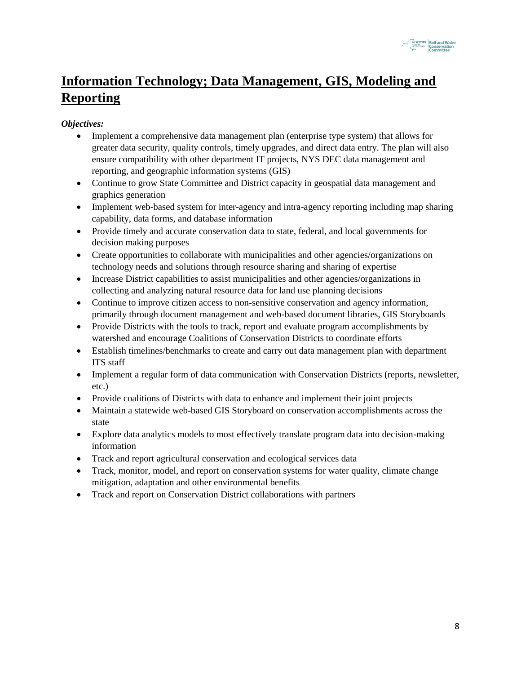

## **Information Technology; Data Management, GIS, Modeling and Reporting**

- Implement a comprehensive data management plan (enterprise type system) that allows for greater data security, quality controls, timely upgrades, and direct data entry. The plan will also ensure compatibility with other department IT projects, NYS DEC data management and reporting, and geographic information systems (GIS)
- Continue to grow State Committee and District capacity in geospatial data management and graphics generation
- Implement web-based system for inter-agency and intra-agency reporting including map sharing capability, data forms, and database information
- Provide timely and accurate conservation data to state, federal, and local governments for decision making purposes
- Create opportunities to collaborate with municipalities and other agencies/organizations on technology needs and solutions through resource sharing and sharing of expertise
- Increase District capabilities to assist municipalities and other agencies/organizations in collecting and analyzing natural resource data for land use planning decisions
- Continue to improve citizen access to non-sensitive conservation and agency information, primarily through document management and web-based document libraries, GIS Storyboards
- Provide Districts with the tools to track, report and evaluate program accomplishments by watershed and encourage Coalitions of Conservation Districts to coordinate efforts
- Establish timelines/benchmarks to create and carry out data management plan with department ITS staff
- Implement a regular form of data communication with Conservation Districts (reports, newsletter, etc.)
- Provide coalitions of Districts with data to enhance and implement their joint projects
- Maintain a statewide web-based GIS Storyboard on conservation accomplishments across the state
- Explore data analytics models to most effectively translate program data into decision-making information
- Track and report agricultural conservation and ecological services data
- Track, monitor, model, and report on conservation systems for water quality, climate change mitigation, adaptation and other environmental benefits
- Track and report on Conservation District collaborations with partners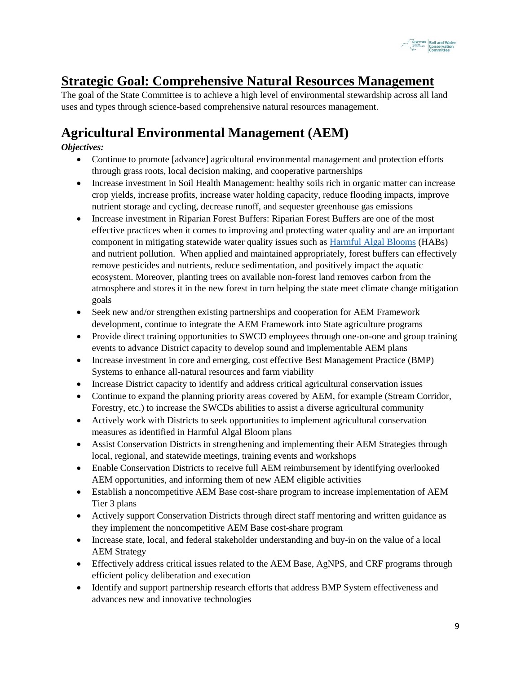

## **Strategic Goal: Comprehensive Natural Resources Management**

The goal of the State Committee is to achieve a high level of environmental stewardship across all land uses and types through science-based comprehensive natural resources management.

## **Agricultural Environmental Management (AEM)**

- Continue to promote [advance] agricultural environmental management and protection efforts through grass roots, local decision making, and cooperative partnerships
- Increase investment in Soil Health Management: healthy soils rich in organic matter can increase crop yields, increase profits, increase water holding capacity, reduce flooding impacts, improve nutrient storage and cycling, decrease runoff, and sequester greenhouse gas emissions
- Increase investment in Riparian Forest Buffers: Riparian Forest Buffers are one of the most effective practices when it comes to improving and protecting water quality and are an important component in mitigating statewide water quality issues such as [Harmful Algal Blooms](https://www.dec.ny.gov/chemical/113733.html) (HABs) and nutrient pollution. When applied and maintained appropriately, forest buffers can effectively remove pesticides and nutrients, reduce sedimentation, and positively impact the aquatic ecosystem. Moreover, planting trees on available non-forest land removes carbon from the atmosphere and stores it in the new forest in turn helping the state meet climate change mitigation goals
- Seek new and/or strengthen existing partnerships and cooperation for AEM Framework development, continue to integrate the AEM Framework into State agriculture programs
- Provide direct training opportunities to SWCD employees through one-on-one and group training events to advance District capacity to develop sound and implementable AEM plans
- Increase investment in core and emerging, cost effective Best Management Practice (BMP) Systems to enhance all-natural resources and farm viability
- Increase District capacity to identify and address critical agricultural conservation issues
- Continue to expand the planning priority areas covered by AEM, for example (Stream Corridor, Forestry, etc.) to increase the SWCDs abilities to assist a diverse agricultural community
- Actively work with Districts to seek opportunities to implement agricultural conservation measures as identified in Harmful Algal Bloom plans
- Assist Conservation Districts in strengthening and implementing their AEM Strategies through local, regional, and statewide meetings, training events and workshops
- Enable Conservation Districts to receive full AEM reimbursement by identifying overlooked AEM opportunities, and informing them of new AEM eligible activities
- Establish a noncompetitive AEM Base cost-share program to increase implementation of AEM Tier 3 plans
- Actively support Conservation Districts through direct staff mentoring and written guidance as they implement the noncompetitive AEM Base cost-share program
- Increase state, local, and federal stakeholder understanding and buy-in on the value of a local AEM Strategy
- Effectively address critical issues related to the AEM Base, AgNPS, and CRF programs through efficient policy deliberation and execution
- Identify and support partnership research efforts that address BMP System effectiveness and advances new and innovative technologies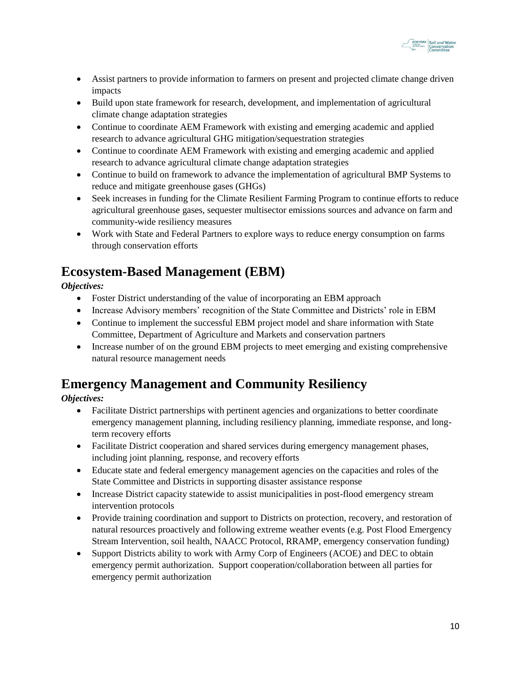

- Assist partners to provide information to farmers on present and projected climate change driven impacts
- Build upon state framework for research, development, and implementation of agricultural climate change adaptation strategies
- Continue to coordinate AEM Framework with existing and emerging academic and applied research to advance agricultural GHG mitigation/sequestration strategies
- Continue to coordinate AEM Framework with existing and emerging academic and applied research to advance agricultural climate change adaptation strategies
- Continue to build on framework to advance the implementation of agricultural BMP Systems to reduce and mitigate greenhouse gases (GHGs)
- Seek increases in funding for the Climate Resilient Farming Program to continue efforts to reduce agricultural greenhouse gases, sequester multisector emissions sources and advance on farm and community-wide resiliency measures
- Work with State and Federal Partners to explore ways to reduce energy consumption on farms through conservation efforts

## **Ecosystem-Based Management (EBM)**

*Objectives:*

- Foster District understanding of the value of incorporating an EBM approach
- Increase Advisory members' recognition of the State Committee and Districts' role in EBM
- Continue to implement the successful EBM project model and share information with State Committee, Department of Agriculture and Markets and conservation partners
- Increase number of on the ground EBM projects to meet emerging and existing comprehensive natural resource management needs

## **Emergency Management and Community Resiliency**

- Facilitate District partnerships with pertinent agencies and organizations to better coordinate emergency management planning, including resiliency planning, immediate response, and longterm recovery efforts
- Facilitate District cooperation and shared services during emergency management phases, including joint planning, response, and recovery efforts
- Educate state and federal emergency management agencies on the capacities and roles of the State Committee and Districts in supporting disaster assistance response
- Increase District capacity statewide to assist municipalities in post-flood emergency stream intervention protocols
- Provide training coordination and support to Districts on protection, recovery, and restoration of natural resources proactively and following extreme weather events (e.g. Post Flood Emergency Stream Intervention, soil health, NAACC Protocol, RRAMP, emergency conservation funding)
- Support Districts ability to work with Army Corp of Engineers (ACOE) and DEC to obtain emergency permit authorization. Support cooperation/collaboration between all parties for emergency permit authorization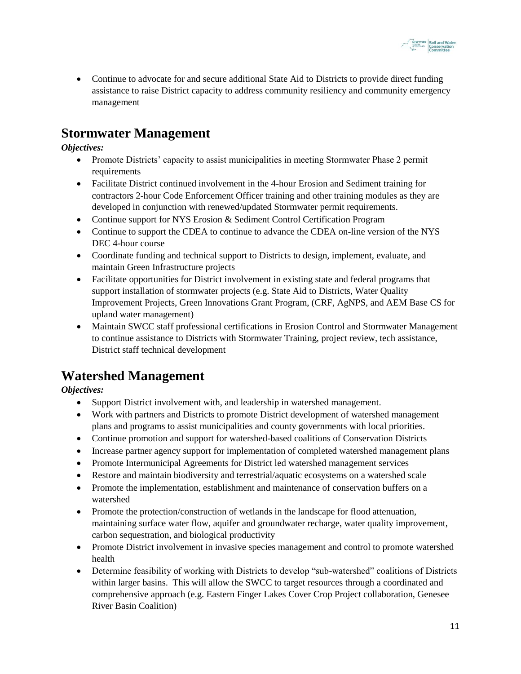

• Continue to advocate for and secure additional State Aid to Districts to provide direct funding assistance to raise District capacity to address community resiliency and community emergency management

#### **Stormwater Management**

*Objectives:*

- Promote Districts' capacity to assist municipalities in meeting Stormwater Phase 2 permit requirements
- Facilitate District continued involvement in the 4-hour Erosion and Sediment training for contractors 2-hour Code Enforcement Officer training and other training modules as they are developed in conjunction with renewed/updated Stormwater permit requirements.
- Continue support for NYS Erosion & Sediment Control Certification Program
- Continue to support the CDEA to continue to advance the CDEA on-line version of the NYS DEC 4-hour course
- Coordinate funding and technical support to Districts to design, implement, evaluate, and maintain Green Infrastructure projects
- Facilitate opportunities for District involvement in existing state and federal programs that support installation of stormwater projects (e.g. State Aid to Districts, Water Quality Improvement Projects, Green Innovations Grant Program, (CRF, AgNPS, and AEM Base CS for upland water management)
- Maintain SWCC staff professional certifications in Erosion Control and Stormwater Management to continue assistance to Districts with Stormwater Training, project review, tech assistance, District staff technical development

#### **Watershed Management**

- Support District involvement with, and leadership in watershed management.
- Work with partners and Districts to promote District development of watershed management plans and programs to assist municipalities and county governments with local priorities.
- Continue promotion and support for watershed-based coalitions of Conservation Districts
- Increase partner agency support for implementation of completed watershed management plans
- Promote Intermunicipal Agreements for District led watershed management services
- Restore and maintain biodiversity and terrestrial/aquatic ecosystems on a watershed scale
- Promote the implementation, establishment and maintenance of conservation buffers on a watershed
- Promote the protection/construction of wetlands in the landscape for flood attenuation, maintaining surface water flow, aquifer and groundwater recharge, water quality improvement, carbon sequestration, and biological productivity
- Promote District involvement in invasive species management and control to promote watershed health
- Determine feasibility of working with Districts to develop "sub-watershed" coalitions of Districts within larger basins. This will allow the SWCC to target resources through a coordinated and comprehensive approach (e.g. Eastern Finger Lakes Cover Crop Project collaboration, Genesee River Basin Coalition)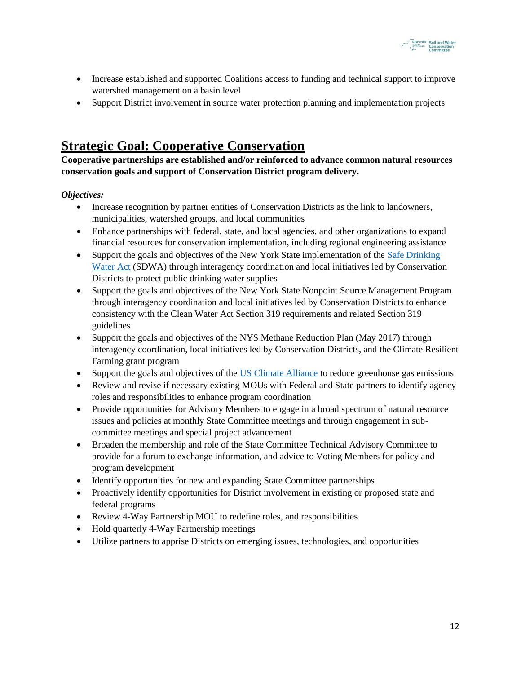

- Increase established and supported Coalitions access to funding and technical support to improve watershed management on a basin level
- Support District involvement in source water protection planning and implementation projects

#### **Strategic Goal: Cooperative Conservation**

**Cooperative partnerships are established and/or reinforced to advance common natural resources conservation goals and support of Conservation District program delivery.**

- Increase recognition by partner entities of Conservation Districts as the link to landowners, municipalities, watershed groups, and local communities
- Enhance partnerships with federal, state, and local agencies, and other organizations to expand financial resources for conservation implementation, including regional engineering assistance
- Support the goals and objectives of the New York State implementation of the Safe Drinking [Water Act](https://www.epa.gov/sdwa) (SDWA) through interagency coordination and local initiatives led by Conservation Districts to protect public drinking water supplies
- Support the goals and objectives of the New York State Nonpoint Source Management Program through interagency coordination and local initiatives led by Conservation Districts to enhance consistency with the Clean Water Act Section 319 requirements and related Section 319 guidelines
- Support the goals and objectives of the NYS Methane Reduction Plan (May 2017) through interagency coordination, local initiatives led by Conservation Districts, and the Climate Resilient Farming grant program
- Support the goals and objectives of the [US Climate Alliance](https://www.usclimatealliance.org/) to reduce greenhouse gas emissions
- Review and revise if necessary existing MOUs with Federal and State partners to identify agency roles and responsibilities to enhance program coordination
- Provide opportunities for Advisory Members to engage in a broad spectrum of natural resource issues and policies at monthly State Committee meetings and through engagement in subcommittee meetings and special project advancement
- Broaden the membership and role of the State Committee Technical Advisory Committee to provide for a forum to exchange information, and advice to Voting Members for policy and program development
- Identify opportunities for new and expanding State Committee partnerships
- Proactively identify opportunities for District involvement in existing or proposed state and federal programs
- Review 4-Way Partnership MOU to redefine roles, and responsibilities
- Hold quarterly 4-Way Partnership meetings
- Utilize partners to apprise Districts on emerging issues, technologies, and opportunities